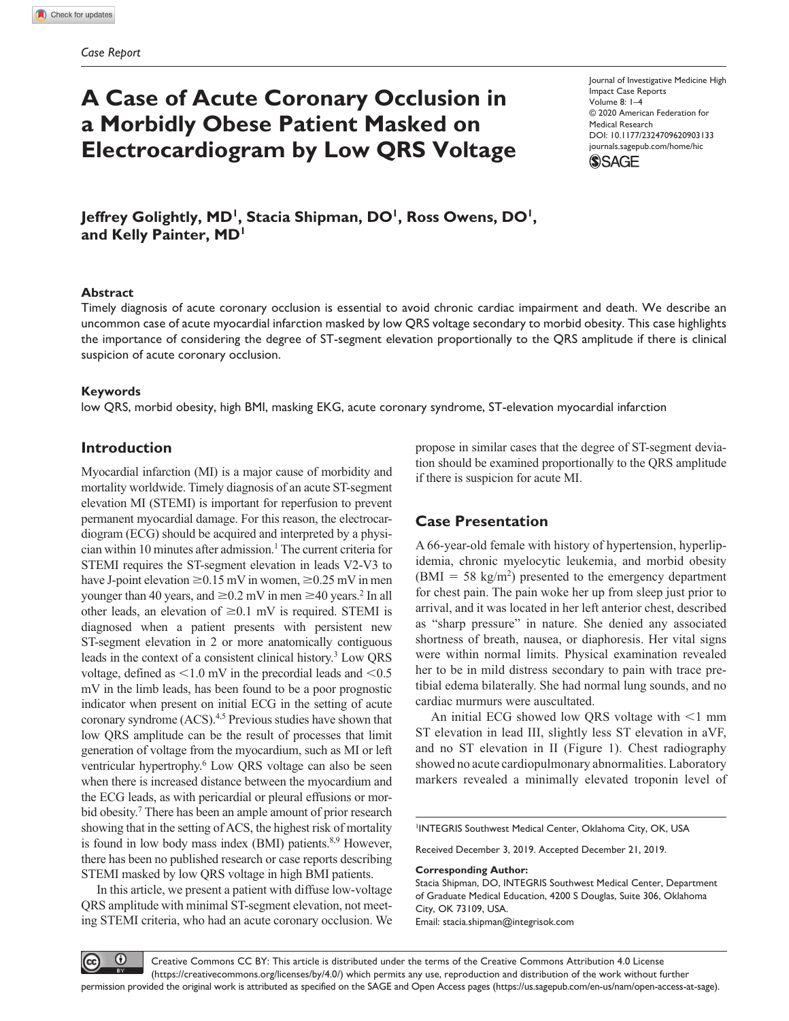# **A Case of Acute Coronary Occlusion in a Morbidly Obese Patient Masked on Electrocardiogram by Low QRS Voltage**

https://doi.org/10.1177/2324709620903133 DOI: 10.1177/2324709620903133 Journal of Investigative Medicine High Impact Case Reports Volume 8: 1–4 © 2020 American Federation for Medical Research [journals.sagepub.com/home/hic](https://journals.sagepub.com/home/hic)



Jeffrey Golightly, MD<sup>1</sup>, Stacia Shipman, DO<sup>1</sup>, Ross Owens, DO<sup>1</sup>, **and Kelly Painter, MD1**

#### **Abstract**

Timely diagnosis of acute coronary occlusion is essential to avoid chronic cardiac impairment and death. We describe an uncommon case of acute myocardial infarction masked by low QRS voltage secondary to morbid obesity. This case highlights the importance of considering the degree of ST-segment elevation proportionally to the QRS amplitude if there is clinical suspicion of acute coronary occlusion.

#### **Keywords**

low QRS, morbid obesity, high BMI, masking EKG, acute coronary syndrome, ST-elevation myocardial infarction

### **Introduction**

Myocardial infarction (MI) is a major cause of morbidity and mortality worldwide. Timely diagnosis of an acute ST-segment elevation MI (STEMI) is important for reperfusion to prevent permanent myocardial damage. For this reason, the electrocardiogram (ECG) should be acquired and interpreted by a physician within 10 minutes after admission.<sup>1</sup> The current criteria for STEMI requires the ST-segment elevation in leads V2-V3 to have J-point elevation  $\geq 0.15$  mV in women,  $\geq 0.25$  mV in men younger than 40 years, and  $\geq 0.2$  mV in men  $\geq 40$  years.<sup>2</sup> In all other leads, an elevation of  $\geq 0.1$  mV is required. STEMI is diagnosed when a patient presents with persistent new ST-segment elevation in 2 or more anatomically contiguous leads in the context of a consistent clinical history.<sup>3</sup> Low QRS voltage, defined as  $\leq 1.0$  mV in the precordial leads and  $\leq 0.5$ mV in the limb leads, has been found to be a poor prognostic indicator when present on initial ECG in the setting of acute coronary syndrome (ACS).<sup>4,5</sup> Previous studies have shown that low QRS amplitude can be the result of processes that limit generation of voltage from the myocardium, such as MI or left ventricular hypertrophy.<sup>6</sup> Low QRS voltage can also be seen when there is increased distance between the myocardium and the ECG leads, as with pericardial or pleural effusions or morbid obesity.<sup>7</sup> There has been an ample amount of prior research showing that in the setting of ACS, the highest risk of mortality is found in low body mass index (BMI) patients.<sup>8,9</sup> However, there has been no published research or case reports describing STEMI masked by low QRS voltage in high BMI patients.

In this article, we present a patient with diffuse low-voltage QRS amplitude with minimal ST-segment elevation, not meeting STEMI criteria, who had an acute coronary occlusion. We propose in similar cases that the degree of ST-segment deviation should be examined proportionally to the QRS amplitude if there is suspicion for acute MI.

## **Case Presentation**

A 66-year-old female with history of hypertension, hyperlipidemia, chronic myelocytic leukemia, and morbid obesity  $(BMI = 58 \text{ kg/m}^2)$  presented to the emergency department for chest pain. The pain woke her up from sleep just prior to arrival, and it was located in her left anterior chest, described as "sharp pressure" in nature. She denied any associated shortness of breath, nausea, or diaphoresis. Her vital signs were within normal limits. Physical examination revealed her to be in mild distress secondary to pain with trace pretibial edema bilaterally. She had normal lung sounds, and no cardiac murmurs were auscultated.

An initial ECG showed low QRS voltage with <1 mm ST elevation in lead III, slightly less ST elevation in aVF, and no ST elevation in II (Figure 1). Chest radiography showed no acute cardiopulmonary abnormalities. Laboratory markers revealed a minimally elevated troponin level of

1 INTEGRIS Southwest Medical Center, Oklahoma City, OK, USA

Received December 3, 2019. Accepted December 21, 2019.

**Corresponding Author:**

Stacia Shipman, DO, INTEGRIS Southwest Medical Center, Department of Graduate Medical Education, 4200 S Douglas, Suite 306, Oklahoma City, OK 73109, USA.

Email: [stacia.shipman@integrisok.com](mailto:stacia.shipman@integrisok.com)



Creative Commons CC BY: This article is distributed under the terms of the Creative Commons Attribution 4.0 License (https://creativecommons.org/licenses/by/4.0/) which permits any use, reproduction and distribution of the work without further permission provided the original work is attributed as specified on the SAGE and Open Access pages (https://us.sagepub.com/en-us/nam/open-access-at-sage).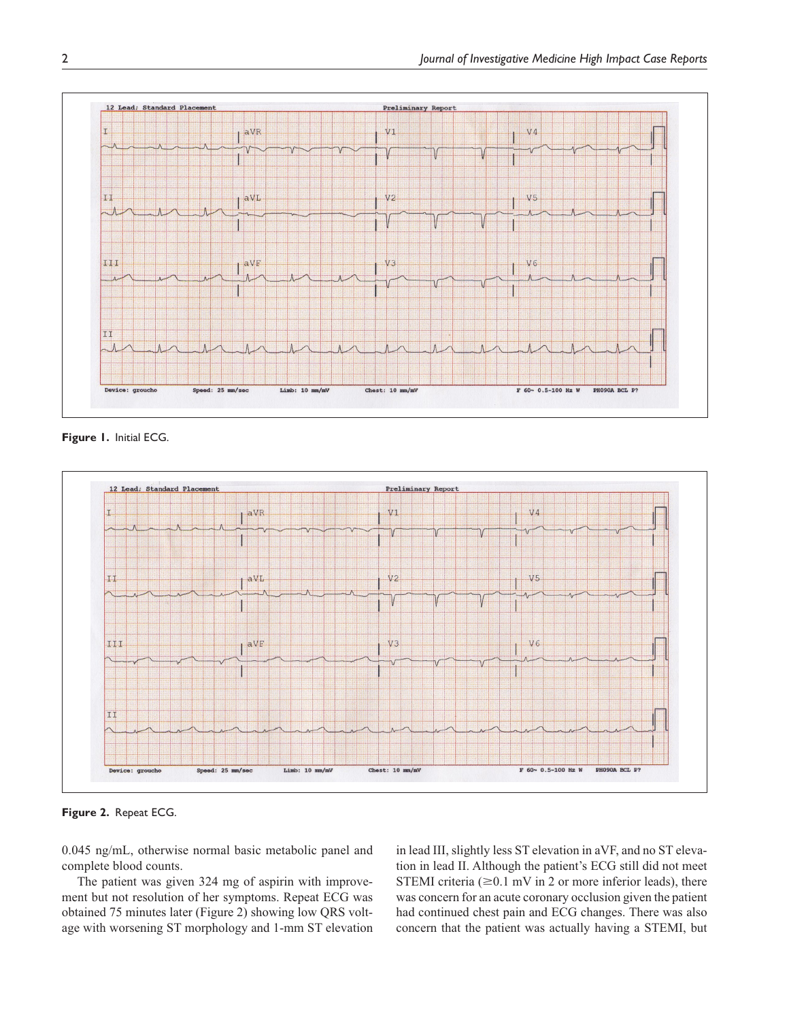

**Figure 1.** Initial ECG.



**Figure 2.** Repeat ECG.

0.045 ng/mL, otherwise normal basic metabolic panel and complete blood counts.

The patient was given 324 mg of aspirin with improvement but not resolution of her symptoms. Repeat ECG was obtained 75 minutes later (Figure 2) showing low QRS voltage with worsening ST morphology and 1-mm ST elevation in lead III, slightly less ST elevation in aVF, and no ST elevation in lead II. Although the patient's ECG still did not meet STEMI criteria ( $\geq 0.1$  mV in 2 or more inferior leads), there was concern for an acute coronary occlusion given the patient had continued chest pain and ECG changes. There was also concern that the patient was actually having a STEMI, but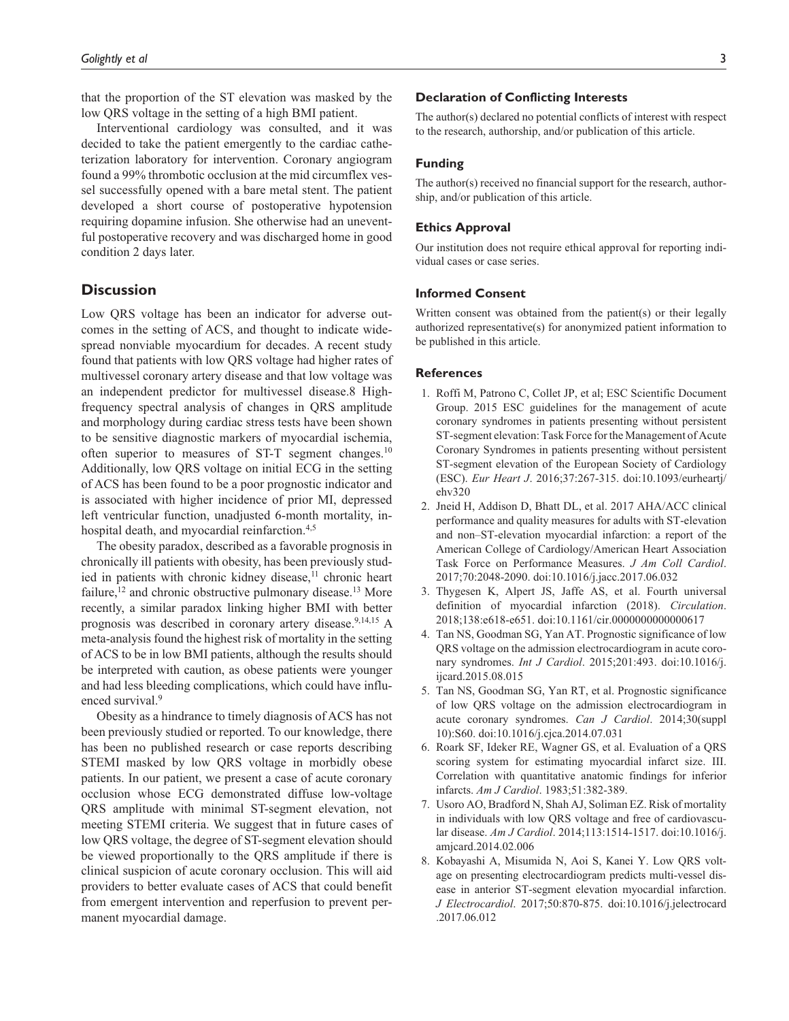that the proportion of the ST elevation was masked by the low QRS voltage in the setting of a high BMI patient.

Interventional cardiology was consulted, and it was decided to take the patient emergently to the cardiac catheterization laboratory for intervention. Coronary angiogram found a 99% thrombotic occlusion at the mid circumflex vessel successfully opened with a bare metal stent. The patient developed a short course of postoperative hypotension requiring dopamine infusion. She otherwise had an uneventful postoperative recovery and was discharged home in good condition 2 days later.

## **Discussion**

Low QRS voltage has been an indicator for adverse outcomes in the setting of ACS, and thought to indicate widespread nonviable myocardium for decades. A recent study found that patients with low QRS voltage had higher rates of multivessel coronary artery disease and that low voltage was an independent predictor for multivessel disease.8 Highfrequency spectral analysis of changes in QRS amplitude and morphology during cardiac stress tests have been shown to be sensitive diagnostic markers of myocardial ischemia, often superior to measures of ST-T segment changes.<sup>10</sup> Additionally, low QRS voltage on initial ECG in the setting of ACS has been found to be a poor prognostic indicator and is associated with higher incidence of prior MI, depressed left ventricular function, unadjusted 6-month mortality, inhospital death, and myocardial reinfarction.<sup>4,5</sup>

The obesity paradox, described as a favorable prognosis in chronically ill patients with obesity, has been previously studied in patients with chronic kidney disease, $11$  chronic heart failure,  $12$  and chronic obstructive pulmonary disease.<sup>13</sup> More recently, a similar paradox linking higher BMI with better prognosis was described in coronary artery disease.<sup>9,14,15</sup> A meta-analysis found the highest risk of mortality in the setting of ACS to be in low BMI patients, although the results should be interpreted with caution, as obese patients were younger and had less bleeding complications, which could have influenced survival.<sup>9</sup>

Obesity as a hindrance to timely diagnosis of ACS has not been previously studied or reported. To our knowledge, there has been no published research or case reports describing STEMI masked by low QRS voltage in morbidly obese patients. In our patient, we present a case of acute coronary occlusion whose ECG demonstrated diffuse low-voltage QRS amplitude with minimal ST-segment elevation, not meeting STEMI criteria. We suggest that in future cases of low QRS voltage, the degree of ST-segment elevation should be viewed proportionally to the QRS amplitude if there is clinical suspicion of acute coronary occlusion. This will aid providers to better evaluate cases of ACS that could benefit from emergent intervention and reperfusion to prevent permanent myocardial damage.

#### **Declaration of Conflicting Interests**

The author(s) declared no potential conflicts of interest with respect to the research, authorship, and/or publication of this article.

#### **Funding**

The author(s) received no financial support for the research, authorship, and/or publication of this article.

#### **Ethics Approval**

Our institution does not require ethical approval for reporting individual cases or case series.

#### **Informed Consent**

Written consent was obtained from the patient(s) or their legally authorized representative(s) for anonymized patient information to be published in this article.

#### **References**

- 1. Roffi M, Patrono C, Collet JP, et al; ESC Scientific Document Group. 2015 ESC guidelines for the management of acute coronary syndromes in patients presenting without persistent ST-segment elevation: Task Force for the Management of Acute Coronary Syndromes in patients presenting without persistent ST-segment elevation of the European Society of Cardiology (ESC). *Eur Heart J*. 2016;37:267-315. doi:10.1093/eurheartj/ ehv320
- 2. Jneid H, Addison D, Bhatt DL, et al. 2017 AHA/ACC clinical performance and quality measures for adults with ST-elevation and non–ST-elevation myocardial infarction: a report of the American College of Cardiology/American Heart Association Task Force on Performance Measures. *J Am Coll Cardiol*. 2017;70:2048-2090. doi:10.1016/j.jacc.2017.06.032
- 3. Thygesen K, Alpert JS, Jaffe AS, et al. Fourth universal definition of myocardial infarction (2018). *Circulation*. 2018;138:e618-e651. doi:10.1161/cir.0000000000000617
- 4. Tan NS, Goodman SG, Yan AT. Prognostic significance of low QRS voltage on the admission electrocardiogram in acute coronary syndromes. *Int J Cardiol*. 2015;201:493. doi:10.1016/j. ijcard.2015.08.015
- 5. Tan NS, Goodman SG, Yan RT, et al. Prognostic significance of low QRS voltage on the admission electrocardiogram in acute coronary syndromes. *Can J Cardiol*. 2014;30(suppl 10):S60. doi:10.1016/j.cjca.2014.07.031
- 6. Roark SF, Ideker RE, Wagner GS, et al. Evaluation of a QRS scoring system for estimating myocardial infarct size. III. Correlation with quantitative anatomic findings for inferior infarcts. *Am J Cardiol*. 1983;51:382-389.
- 7. Usoro AO, Bradford N, Shah AJ, Soliman EZ. Risk of mortality in individuals with low QRS voltage and free of cardiovascular disease. *Am J Cardiol*. 2014;113:1514-1517. doi:10.1016/j. amjcard.2014.02.006
- 8. Kobayashi A, Misumida N, Aoi S, Kanei Y. Low QRS voltage on presenting electrocardiogram predicts multi-vessel disease in anterior ST-segment elevation myocardial infarction. *J Electrocardiol*. 2017;50:870-875. doi:10.1016/j.jelectrocard .2017.06.012